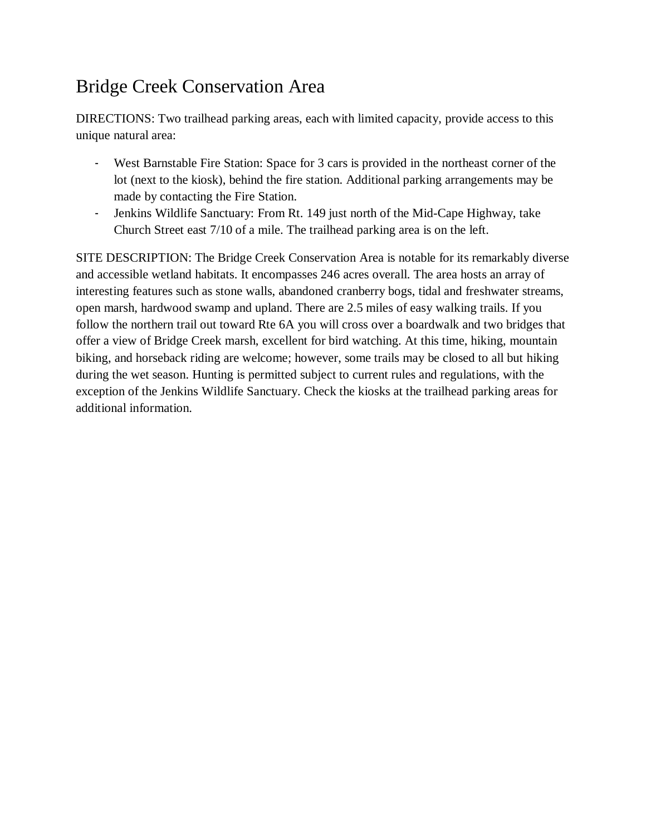# Bridge Creek Conservation Area

DIRECTIONS: Two trailhead parking areas, each with limited capacity, provide access to this unique natural area:

- West Barnstable Fire Station: Space for 3 cars is provided in the northeast corner of the lot (next to the kiosk), behind the fire station. Additional parking arrangements may be made by contacting the Fire Station.
- Jenkins Wildlife Sanctuary: From Rt. 149 just north of the Mid-Cape Highway, take Church Street east 7/10 of a mile. The trailhead parking area is on the left.

SITE DESCRIPTION: The Bridge Creek Conservation Area is notable for its remarkably diverse and accessible wetland habitats. It encompasses 246 acres overall. The area hosts an array of interesting features such as stone walls, abandoned cranberry bogs, tidal and freshwater streams, open marsh, hardwood swamp and upland. There are 2.5 miles of easy walking trails. If you follow the northern trail out toward Rte 6A you will cross over a boardwalk and two bridges that offer a view of Bridge Creek marsh, excellent for bird watching. At this time, hiking, mountain biking, and horseback riding are welcome; however, some trails may be closed to all but hiking during the wet season. Hunting is permitted subject to current rules and regulations, with the exception of the Jenkins Wildlife Sanctuary. Check the kiosks at the trailhead parking areas for additional information.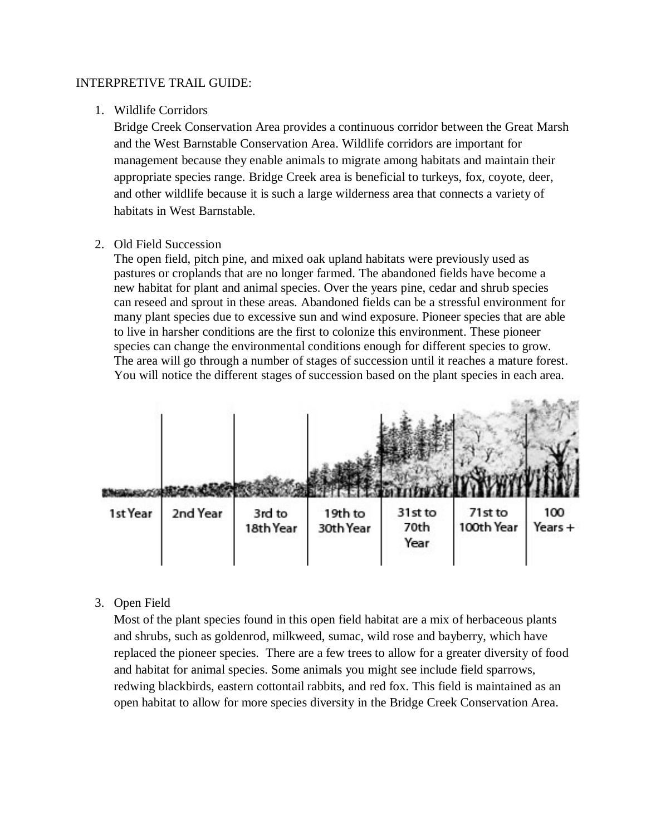#### INTERPRETIVE TRAIL GUIDE:

## 1. Wildlife Corridors

Bridge Creek Conservation Area provides a continuous corridor between the Great Marsh and the West Barnstable Conservation Area. Wildlife corridors are important for management because they enable animals to migrate among habitats and maintain their appropriate species range. Bridge Creek area is beneficial to turkeys, fox, coyote, deer, and other wildlife because it is such a large wilderness area that connects a variety of habitats in West Barnstable.

## 2. Old Field Succession

The open field, pitch pine, and mixed oak upland habitats were previously used as pastures or croplands that are no longer farmed. The abandoned fields have become a new habitat for plant and animal species. Over the years pine, cedar and shrub species can reseed and sprout in these areas. Abandoned fields can be a stressful environment for many plant species due to excessive sun and wind exposure. Pioneer species that are able to live in harsher conditions are the first to colonize this environment. These pioneer species can change the environmental conditions enough for different species to grow. The area will go through a number of stages of succession until it reaches a mature forest. You will notice the different stages of succession based on the plant species in each area.



## 3. Open Field

Most of the plant species found in this open field habitat are a mix of herbaceous plants and shrubs, such as goldenrod, milkweed, sumac, wild rose and bayberry, which have replaced the pioneer species. There are a few trees to allow for a greater diversity of food and habitat for animal species. Some animals you might see include field sparrows, redwing blackbirds, eastern cottontail rabbits, and red fox. This field is maintained as an open habitat to allow for more species diversity in the Bridge Creek Conservation Area.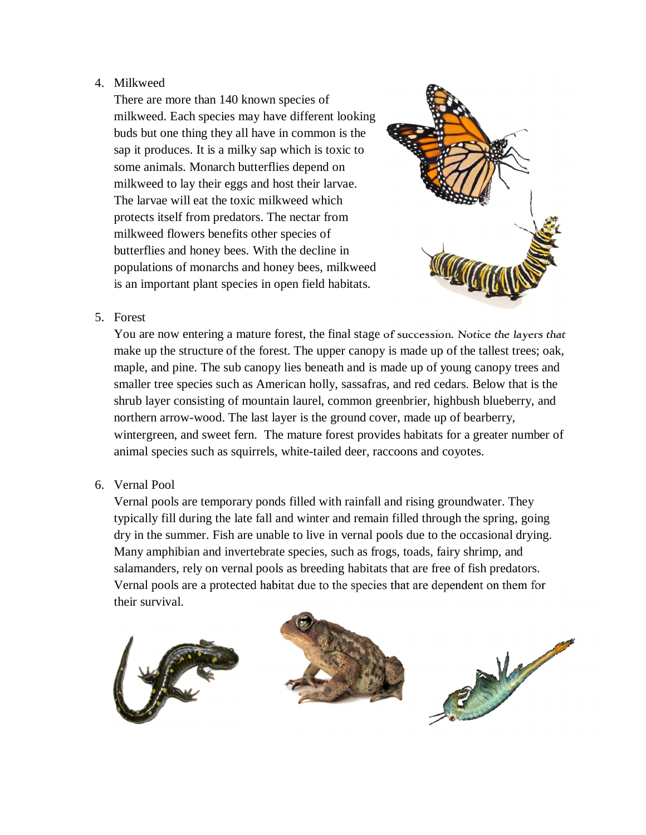# 4. Milkweed

There are more than 140 known species of milkweed. Each species may have different looking buds but one thing they all have in common is the sap it produces. It is a milky sap which is toxic to some animals. Monarch butterflies depend on milkweed to lay their eggs and host their larvae. The larvae will eat the toxic milkweed which protects itself from predators. The nectar from milkweed flowers benefits other species of butterflies and honey bees. With the decline in populations of monarchs and honey bees, milkweed is an important plant species in open field habitats.



## 5. Forest

You are now entering a mature forest, the final stage of succession. Notice the layers that make up the structure of the forest. The upper canopy is made up of the tallest trees; oak, maple, and pine. The sub canopy lies beneath and is made up of young canopy trees and smaller tree species such as American holly, sassafras, and red cedars. Below that is the shrub layer consisting of mountain laurel, common greenbrier, highbush blueberry, and northern arrow-wood. The last layer is the ground cover, made up of bearberry, wintergreen, and sweet fern. The mature forest provides habitats for a greater number of animal species such as squirrels, white-tailed deer, raccoons and coyotes.

# 6. Vernal Pool

Vernal pools are temporary ponds filled with rainfall and rising groundwater. They typically fill during the late fall and winter and remain filled through the spring, going dry in the summer. Fish are unable to live in vernal pools due to the occasional drying. Many amphibian and invertebrate species, such as frogs, toads, fairy shrimp, and salamanders, rely on vernal pools as breeding habitats that are free of fish predators. Vernal pools are a protected habitat due to the species that are dependent on them for their survival.

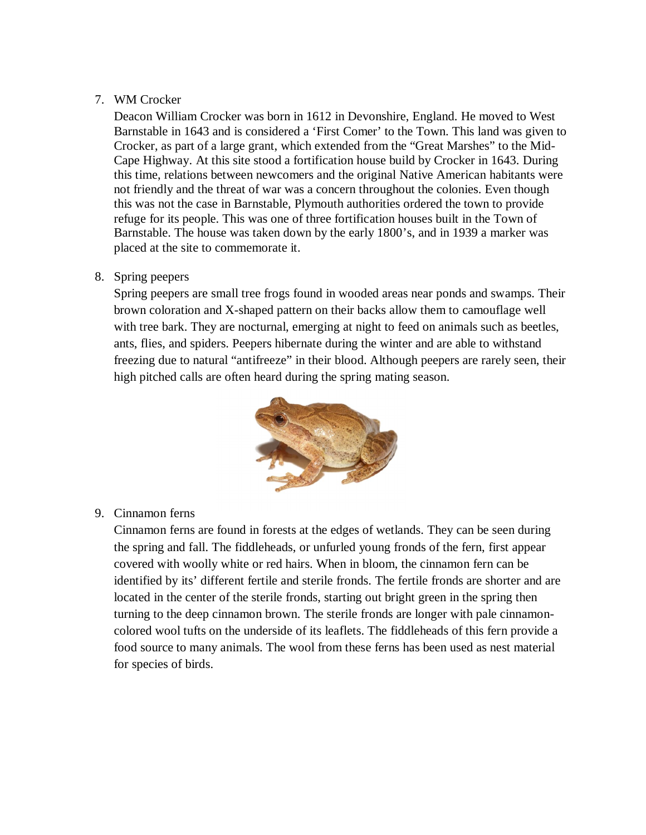## 7. WM Crocker

Deacon William Crocker was born in 1612 in Devonshire, England. He moved to West Barnstable in 1643 and is considered a 'First Comer' to the Town. This land was given to Crocker, as part of a large grant, which extended from the "Great Marshes" to the Mid-Cape Highway. At this site stood a fortification house build by Crocker in 1643. During this time, relations between newcomers and the original Native American habitants were not friendly and the threat of war was a concern throughout the colonies. Even though this was not the case in Barnstable, Plymouth authorities ordered the town to provide refuge for its people. This was one of three fortification houses built in the Town of Barnstable. The house was taken down by the early 1800's, and in 1939 a marker was placed at the site to commemorate it.

## 8. Spring peepers

Spring peepers are small tree frogs found in wooded areas near ponds and swamps. Their brown coloration and X-shaped pattern on their backs allow them to camouflage well with tree bark. They are nocturnal, emerging at night to feed on animals such as beetles, ants, flies, and spiders. Peepers hibernate during the winter and are able to withstand freezing due to natural "antifreeze" in their blood. Although peepers are rarely seen, their high pitched calls are often heard during the spring mating season.



# 9. Cinnamon ferns

Cinnamon ferns are found in forests at the edges of wetlands. They can be seen during the spring and fall. The fiddleheads, or unfurled young fronds of the fern, first appear covered with woolly white or red hairs. When in bloom, the cinnamon fern can be identified by its' different fertile and sterile fronds. The fertile fronds are shorter and are located in the center of the sterile fronds, starting out bright green in the spring then turning to the deep cinnamon brown. The sterile fronds are longer with pale cinnamoncolored wool tufts on the underside of its leaflets. The fiddleheads of this fern provide a food source to many animals. The wool from these ferns has been used as nest material for species of birds.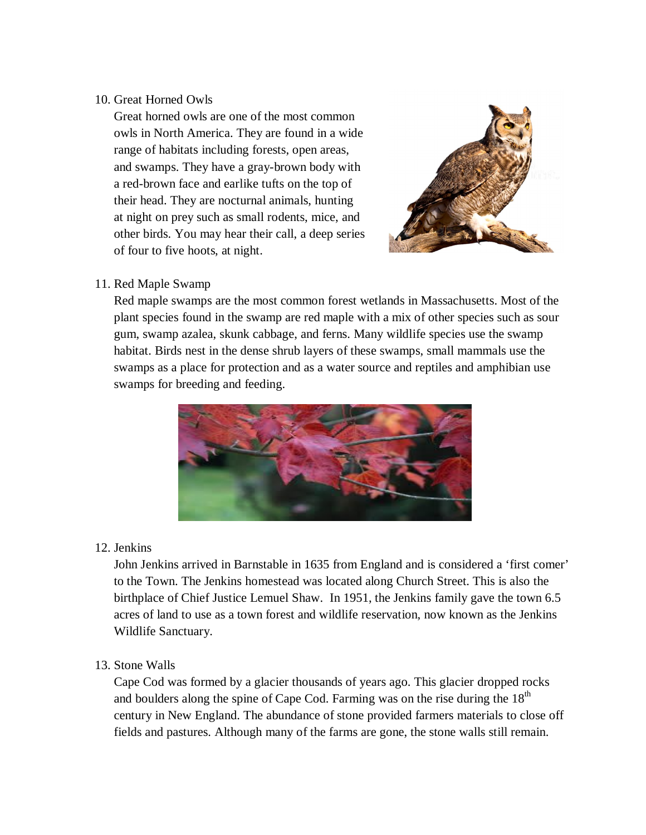## 10. Great Horned Owls

Great horned owls are one of the most common owls in North America. They are found in a wide range of habitats including forests, open areas, and swamps. They have a gray-brown body with a red-brown face and earlike tufts on the top of their head. They are nocturnal animals, hunting at night on prey such as small rodents, mice, and other birds. You may hear their call, a deep series of four to five hoots, at night.



# 11. Red Maple Swamp

Red maple swamps are the most common forest wetlands in Massachusetts. Most of the plant species found in the swamp are red maple with a mix of other species such as sour gum, swamp azalea, skunk cabbage, and ferns. Many wildlife species use the swamp habitat. Birds nest in the dense shrub layers of these swamps, small mammals use the swamps as a place for protection and as a water source and reptiles and amphibian use swamps for breeding and feeding.



# 12. Jenkins

John Jenkins arrived in Barnstable in 1635 from England and is considered a 'first comer' to the Town. The Jenkins homestead was located along Church Street. This is also the birthplace of Chief Justice Lemuel Shaw. In 1951, the Jenkins family gave the town 6.5 acres of land to use as a town forest and wildlife reservation, now known as the Jenkins Wildlife Sanctuary.

# 13. Stone Walls

Cape Cod was formed by a glacier thousands of years ago. This glacier dropped rocks and boulders along the spine of Cape Cod. Farming was on the rise during the  $18<sup>th</sup>$ century in New England. The abundance of stone provided farmers materials to close off fields and pastures. Although many of the farms are gone, the stone walls still remain.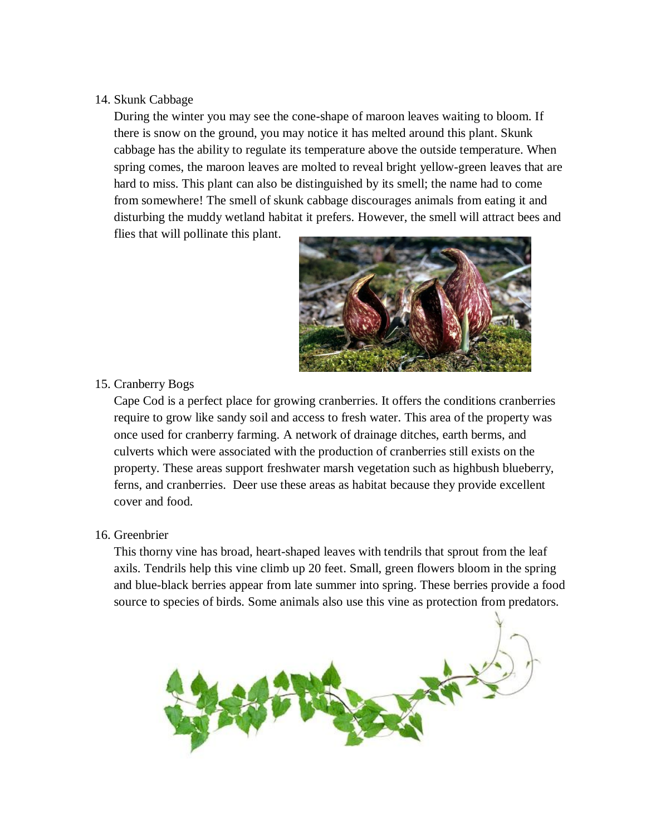#### 14. Skunk Cabbage

During the winter you may see the cone-shape of maroon leaves waiting to bloom. If there is snow on the ground, you may notice it has melted around this plant. Skunk cabbage has the ability to regulate its temperature above the outside temperature. When spring comes, the maroon leaves are molted to reveal bright yellow-green leaves that are hard to miss. This plant can also be distinguished by its smell; the name had to come from somewhere! The smell of skunk cabbage discourages animals from eating it and disturbing the muddy wetland habitat it prefers. However, the smell will attract bees and flies that will pollinate this plant.



## 15. Cranberry Bogs

Cape Cod is a perfect place for growing cranberries. It offers the conditions cranberries require to grow like sandy soil and access to fresh water. This area of the property was once used for cranberry farming. A network of drainage ditches, earth berms, and culverts which were associated with the production of cranberries still exists on the property. These areas support freshwater marsh vegetation such as highbush blueberry, ferns, and cranberries. Deer use these areas as habitat because they provide excellent cover and food.

## 16. Greenbrier

This thorny vine has broad, heart-shaped leaves with tendrils that sprout from the leaf axils. Tendrils help this vine climb up 20 feet. Small, green flowers bloom in the spring and blue-black berries appear from late summer into spring. These berries provide a food source to species of birds. Some animals also use this vine as protection from predators.